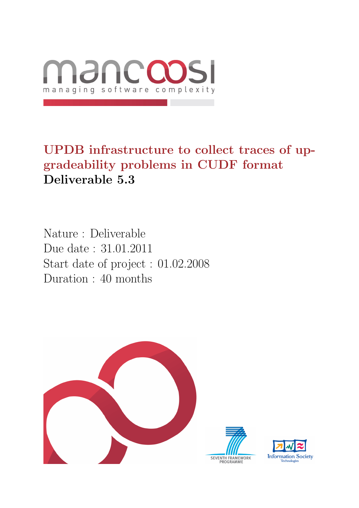

UPDB infrastructure to collect traces of upgradeability problems in CUDF format Deliverable 5.3

Nature : Deliverable Due date : 31.01.2011 Start date of project : 01.02.2008 Duration : 40 months



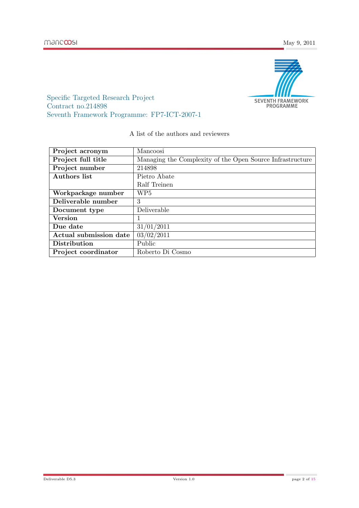

Specific Targeted Research Project Contract no.214898 Seventh Framework Programme: FP7-ICT-2007-1

#### A list of the authors and reviewers

| Project acronym        | Mancoosi                                                  |
|------------------------|-----------------------------------------------------------|
| Project full title     | Managing the Complexity of the Open Source Infrastructure |
| Project number         | 214898                                                    |
| Authors list           | Pietro Abate                                              |
|                        | Ralf Treinen                                              |
| Workpackage number     | WP5                                                       |
| Deliverable number     | 3                                                         |
| Document type          | Deliverable                                               |
| <b>Version</b>         |                                                           |
| Due date               | 31/01/2011                                                |
| Actual submission date | 03/02/2011                                                |
| Distribution           | Public                                                    |
| Project coordinator    | Roberto Di Cosmo                                          |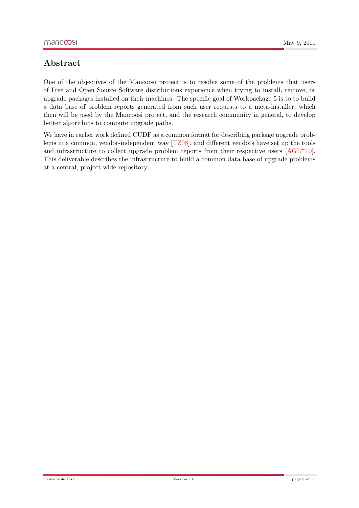### Abstract

One of the objectives of the Mancoosi project is to resolve some of the problems that users of Free and Open Source Software distributions experience when trying to install, remove, or upgrade packages installed on their machines. The specific goal of Workpackage 5 is to to build a data base of problem reports generated from such user requests to a meta-installer, which then will be used by the Mancoosi project, and the research community in general, to develop better algorithms to compute upgrade paths.

We have in earlier work defined CUDF as a common format for describing package upgrade problems in a common, vendor-independent way [\[TZ08\]](#page-14-1), and different vendors have set up the tools and infrastructure to collect upgrade problem reports from their respective users  $[AGL^+10]$  $[AGL^+10]$ . This deliverable describes the infrastructure to build a common data base of upgrade problems at a central, project-wide repository.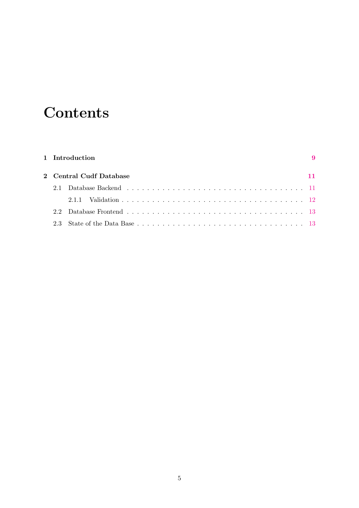# **Contents**

| 1 Introduction |                         | $\boldsymbol{\Omega}$ |
|----------------|-------------------------|-----------------------|
|                | 2 Central Cudf Database |                       |
| 2.1            |                         |                       |
|                | 2.1.1                   |                       |
| 22             |                         |                       |
| 23             |                         |                       |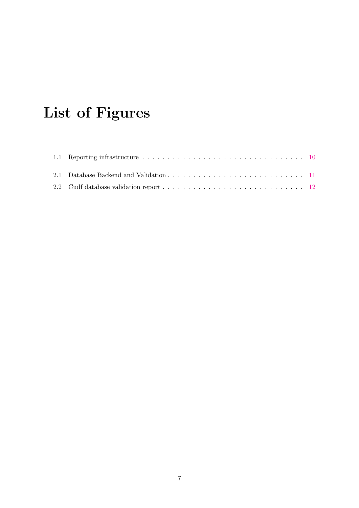# List of Figures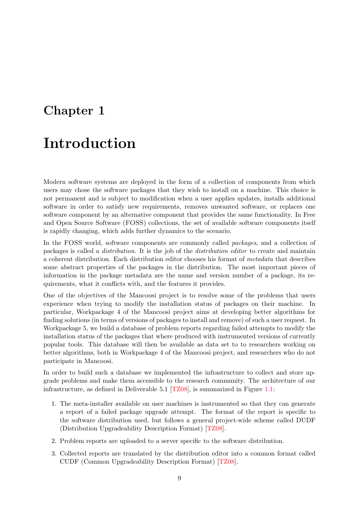### <span id="page-8-0"></span>Chapter 1

### Introduction

Modern software systems are deployed in the form of a collection of components from which users may chose the software packages that they wish to install on a machine. This choice is not permanent and is subject to modification when a user applies updates, installs additional software in order to satisfy new requirements, removes unwanted software, or replaces one software component by an alternative component that provides the same functionality. In Free and Open Source Software (FOSS) collections, the set of available software components itself is rapidly changing, which adds further dynamics to the scenario.

In the FOSS world, software components are commonly called packages, and a collection of packages is called a distribution. It is the job of the distribution editor to create and maintain a coherent distribution. Each distribution editor chooses his format of metadata that describes some abstract properties of the packages in the distribution. The most important pieces of information in the package metadata are the name and version number of a package, its requirements, what it conflicts with, and the features it provides.

One of the objectives of the Mancoosi project is to resolve some of the problems that users experience when trying to modify the installation status of packages on their machine. In particular, Workpackage 4 of the Mancoosi project aims at developing better algorithms for finding solutions (in terms of versions of packages to install and remove) of such a user request. In Workpackage 5, we build a database of problem reports regarding failed attempts to modify the installation status of the packages that where produced with instrumented versions of currently popular tools. This database will then be available as data set to to researchers working on better algorithms, both in Workpackage 4 of the Mancoosi project, and researchers who do not participate in Mancoosi.

In order to build such a database we implemented the infrastructure to collect and store upgrade problems and make them accessible to the research community. The architecture of our infrastructure, as defined in Deliverable 5.1 [\[TZ08\]](#page-14-1), is summarized in Figure [1.1:](#page-9-0)

- 1. The meta-installer available on user machines is instrumented so that they can generate a report of a failed package upgrade attempt. The format of the report is specific to the software distribution used, but follows a general project-wide scheme called DUDF (Distribution Upgradeability Description Format) [\[TZ08\]](#page-14-1).
- 2. Problem reports are uploaded to a server specific to the software distribution.
- 3. Collected reports are translated by the distribution editor into a common format called CUDF (Common Upgradeability Description Format) [\[TZ08\]](#page-14-1).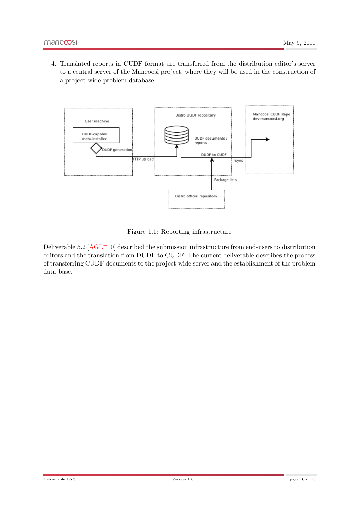4. Translated reports in CUDF format are transferred from the distribution editor's server to a central server of the Mancoosi project, where they will be used in the construction of a project-wide problem database.



<span id="page-9-0"></span>Figure 1.1: Reporting infrastructure

Deliverable 5.2  $[AGL^+10]$  $[AGL^+10]$  described the submission infrastructure from end-users to distribution editors and the translation from DUDF to CUDF. The current deliverable describes the process of transferring CUDF documents to the project-wide server and the establishment of the problem data base.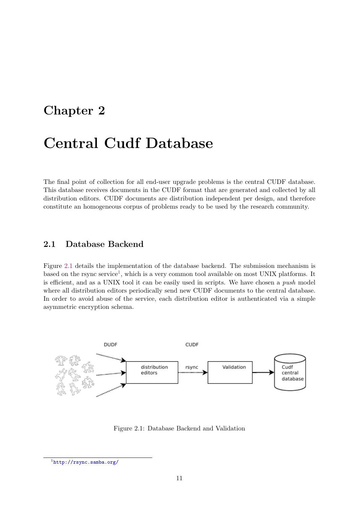### <span id="page-10-0"></span>Chapter 2

### Central Cudf Database

The final point of collection for all end-user upgrade problems is the central CUDF database. This database receives documents in the CUDF format that are generated and collected by all distribution editors. CUDF documents are distribution independent per design, and therefore constitute an homogeneous corpus of problems ready to be used by the research community.

#### <span id="page-10-1"></span>2.1 Database Backend

Figure [2.1](#page-10-2) details the implementation of the database backend. The submission mechanism is based on the rsync service<sup>[1](#page-10-3)</sup>, which is a very common tool available on most UNIX platforms. It is efficient, and as a UNIX tool it can be easily used in scripts. We have chosen a push model where all distribution editors periodically send new CUDF documents to the central database. In order to avoid abuse of the service, each distribution editor is authenticated via a simple asymmetric encryption schema.



<span id="page-10-2"></span>Figure 2.1: Database Backend and Validation

<span id="page-10-3"></span><sup>1</sup> <http://rsync.samba.org/>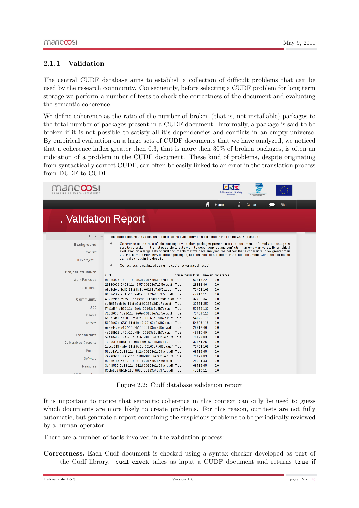#### <span id="page-11-0"></span>2.1.1 Validation

The central CUDF database aims to establish a collection of difficult problems that can be used by the research community. Consequently, before selecting a CUDF problem for long term storage we perform a number of tests to check the correctness of the document and evaluating the semantic coherence.

We define coherence as the ratio of the number of broken (that is, not installable) packages to the total number of packages present in a CUDF document. Informally, a package is said to be broken if it is not possible to satisfy all it's dependencies and conflicts in an empty universe. By empirical evaluation on a large sets of CUDF documents that we have analyzed, we noticed that a coherence index greater then 0.3, that is more then 30% of broken packages, is often an indication of a problem in the CUDF document. These kind of problems, despite originating from syntactically correct CUDF, can often be easily linked to an error in the translation process from DUDF to CUDF.

|                          | <b>Information Society</b><br><b>SEVENTH FRAMEWORK</b>                                                                                                                                                                                             |
|--------------------------|----------------------------------------------------------------------------------------------------------------------------------------------------------------------------------------------------------------------------------------------------|
|                          | 目<br>A<br>Home<br>Contact<br>Blog                                                                                                                                                                                                                  |
|                          | . Validation Report                                                                                                                                                                                                                                |
| Home                     | This page contains the validation report of all the cudf documents collected in the central CUDF database.                                                                                                                                         |
| <b>Background</b>        | →<br>Coherence as the ratio of total packages vs broken packages present in a cudf document. Informally, a package is<br>said to be broken if it is not possible to satisfy all it's dependencies and conflicts in an empty universe. By empirical |
| Context                  | evaluation on a large sets of cudf documents that we have analysed, we noticed that a coherence index greater then<br>0.3, that is more then 30% of broken packages, is often index of a problem in the cudf document. Coherence is tested         |
| EDOS project             | using distcheck in the dose3.                                                                                                                                                                                                                      |
|                          | ٠<br>Correctness is evaluated using the cudf checker part of libcudf                                                                                                                                                                               |
| <b>Project structure</b> | cudf<br>correctness total<br>broken coherence                                                                                                                                                                                                      |
| <b>Work Packages</b>     | 5081322<br>0.0<br>e69a0e36-9ef1-11df-9d4a-00163e46d37a.cudf True                                                                                                                                                                                   |
| Participants             | 29180036-5408-11df-9f57-00163e7a6f5e.cudf True<br>28812 46<br>0.0<br>71404 109<br>0.0<br>e8a3eb4c-4c81-11df-8b8c-00163e7a6f5e.cudf True<br>47210 11<br>0.0<br>0207e19a-9b1c-11df-af69-00163e46d37a.cudf True                                       |
| Community                | 32781 343<br>0.01<br>412959c6-e965-11de-8ebf-00163e6585dd.cudf True                                                                                                                                                                                |
| Blog                     | 0.01<br>33864 251<br>ca8f656c-db9e-11df-b9cf-00163e3d3b7c.cudf True<br>0.0<br>ff4a1d84-d490-11df-9e6c-00163e3d3b7c.cudf True<br>53689 130                                                                                                          |
| People                   | 0.0<br>7266f636-4b23-11df-9e6e-00163e7a6f5e.cudf True<br>71469 110                                                                                                                                                                                 |
|                          | 0.0<br>6b0d1da0-c730-11df-a7c5-00163e3d3b7c.cudf True<br>54625 115<br>54625 115<br>0.0<br>5698a62c-c731-11df-9bb9-00163e3d3b7c.cudf True                                                                                                           |
| Contacts                 | eeee44ce-5407-11df-b11f-00163e7a6f5e.cudf True<br>28812 46<br>0.0                                                                                                                                                                                  |
| <b>Resources</b>         | 0.0<br>4e539b28-d46c-11df-8f4f-00163e3d3b7c.cudf True<br>4971049<br>0.0<br>58a4a468-38a5-11df-a561-00163e7a6f5e.cudf True<br>7012983                                                                                                               |
| Deliverables & reports   | 0.01<br>19890cfe-db9f-11df-9e6c-00163e3d3b7c.cudf True<br>33864 251                                                                                                                                                                                |
| Papers                   | 71404 109<br>0.0<br>1dcce248-4bb4-11df-9e6e-00163e7a6f5e.cudf True<br>68716 65<br>0.0<br>56ae4afa-0b33-11df-8a2b-00163e1d94dc.cudf True                                                                                                            |
| Software                 | 7012983<br>0.0<br>7e7e0b16-38a5-11df-b280-00163e7a6f5e.cudf True<br>0.0<br>e0bd67a6-56d0-11df-b11f-00163e7a6f5e.cudf True<br>28384 43                                                                                                              |
| <b>Measures</b>          | 68716 65<br>0.0<br>3e4f8550-0b33-11df-942d-00163e1d94dc.cudf True<br>80cfe9a6-9b1b-11df-965e-00163e46d37a.cudf True<br>47210 11<br>0.0                                                                                                             |
|                          |                                                                                                                                                                                                                                                    |

<span id="page-11-1"></span>Figure 2.2: Cudf database validation report

It is important to notice that semantic coherence in this context can only be used to guess which documents are more likely to create problems. For this reason, our tests are not fully automatic, but generate a report containing the suspicious problems to be periodically reviewed by a human operator.

There are a number of tools involved in the validation process:

Correctness. Each Cudf document is checked using a syntax checker developed as part of the Cudf library. cudf check takes as input a CUDF document and returns true if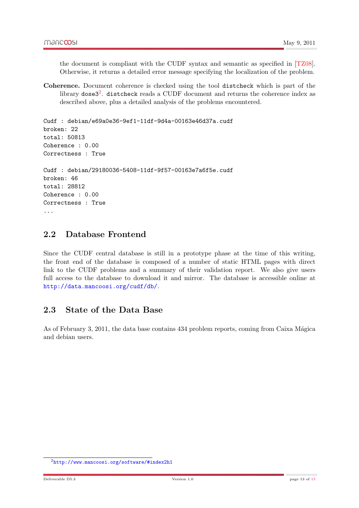the document is compliant with the CUDF syntax and semantic as specified in [\[TZ08\]](#page-14-1). Otherwise, it returns a detailed error message specifying the localization of the problem.

Coherence. Document coherence is checked using the tool distcheck which is part of the library dose3 $^2$  $^2$ . distcheck reads a CUDF document and returns the coherence index as described above, plus a detailed analysis of the problems encountered.

```
Cudf : debian/e69a0e36-9ef1-11df-9d4a-00163e46d37a.cudf
broken: 22
total: 50813
Coherence : 0.00
Correctness : True
Cudf : debian/29180036-5408-11df-9f57-00163e7a6f5e.cudf
broken: 46
total: 28812
Coherence : 0.00
Correctness : True
...
```
#### <span id="page-12-0"></span>2.2 Database Frontend

Since the CUDF central database is still in a prototype phase at the time of this writing, the front end of the database is composed of a number of static HTML pages with direct link to the CUDF problems and a summary of their validation report. We also give users full access to the database to download it and mirror. The database is accessible online at <http://data.mancoosi.org/cudf/db/>.

### <span id="page-12-1"></span>2.3 State of the Data Base

As of February 3, 2011, the data base contains 434 problem reports, coming from Caixa Mágica and debian users.

<span id="page-12-2"></span><sup>2</sup> <http://www.mancoosi.org/software/#index2h1>